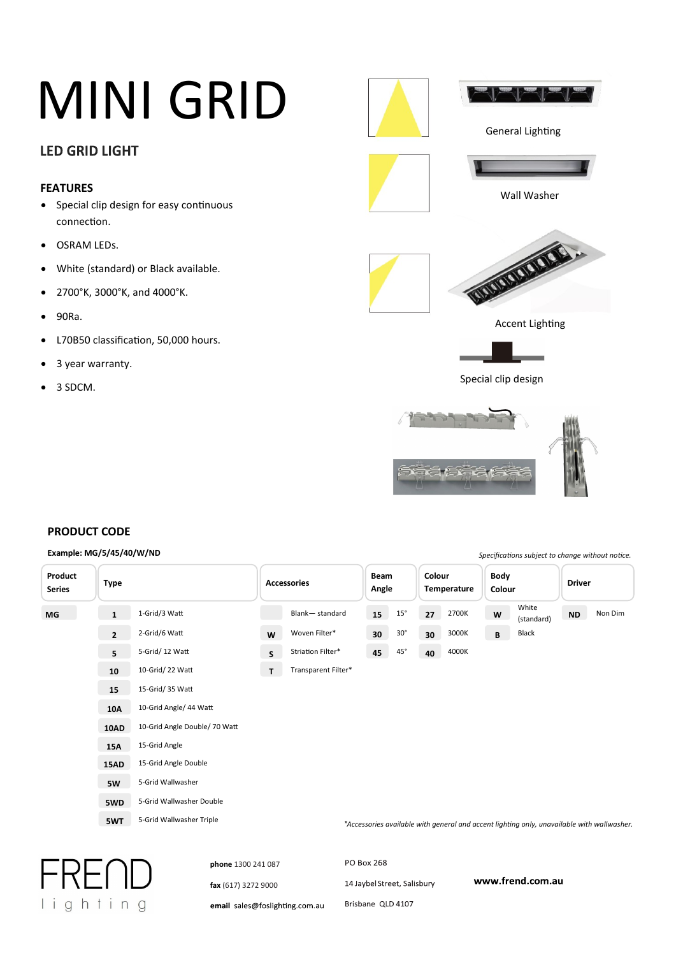### **LED GRID LIGHT**

#### **FEATURES**

- Special clip design for easy continuous connection.
- **•** OSRAM LEDs.
- White (standard) or Black available.
- 2700°K, 3000°K, and 4000°K.
- 90Ra.
- L70B50 classification, 50,000 hours.
- 3 year warranty.
- $3 SDCM.$



*Specifica�ons subject to change without no�ce.*

#### **PRODUCT CODE**

lighting

#### **Example: MG/5/45/40/W/ND**

| Product<br><b>Series</b> | <b>Type</b>    |                               |              | <b>Accessories</b>  |                             | <b>Beam</b><br>Angle |    | Colour<br>Temperature |   | <b>Body</b><br>Colour                                                                      |           | <b>Driver</b> |  |
|--------------------------|----------------|-------------------------------|--------------|---------------------|-----------------------------|----------------------|----|-----------------------|---|--------------------------------------------------------------------------------------------|-----------|---------------|--|
| <b>MG</b>                | $\mathbf{1}$   | 1-Grid/3 Watt                 |              | Blank-standard      | 15                          | $15^\circ$           | 27 | 2700K                 | W | White<br>(standard)                                                                        | <b>ND</b> | Non Dim       |  |
|                          | $\overline{2}$ | 2-Grid/6 Watt                 | W            | Woven Filter*       | 30                          | $30^\circ$           | 30 | 3000K                 | B | Black                                                                                      |           |               |  |
|                          | 5              | 5-Grid/ 12 Watt               | $\mathsf{S}$ | Striation Filter*   | 45                          | 45°                  | 40 | 4000K                 |   |                                                                                            |           |               |  |
|                          | 10             | 10-Grid/ 22 Watt              | T            | Transparent Filter* |                             |                      |    |                       |   |                                                                                            |           |               |  |
|                          | 15             | 15-Grid/ 35 Watt              |              |                     |                             |                      |    |                       |   |                                                                                            |           |               |  |
|                          | <b>10A</b>     | 10-Grid Angle/ 44 Watt        |              |                     |                             |                      |    |                       |   |                                                                                            |           |               |  |
|                          | 10AD           | 10-Grid Angle Double/ 70 Watt |              |                     |                             |                      |    |                       |   |                                                                                            |           |               |  |
|                          | 15A            | 15-Grid Angle                 |              |                     |                             |                      |    |                       |   |                                                                                            |           |               |  |
|                          | <b>15AD</b>    | 15-Grid Angle Double          |              |                     |                             |                      |    |                       |   |                                                                                            |           |               |  |
|                          | 5W             | 5-Grid Wallwasher             |              |                     |                             |                      |    |                       |   |                                                                                            |           |               |  |
|                          | 5WD            | 5-Grid Wallwasher Double      |              |                     |                             |                      |    |                       |   |                                                                                            |           |               |  |
|                          | 5WT            | 5-Grid Wallwasher Triple      |              |                     |                             |                      |    |                       |   | *Accessories available with general and accent lighting only, unavailable with wallwasher. |           |               |  |
|                          |                |                               |              |                     |                             |                      |    |                       |   |                                                                                            |           |               |  |
|                          |                | phone 1300 241 087            |              |                     | <b>PO Box 268</b>           |                      |    |                       |   |                                                                                            |           |               |  |
|                          |                | fax (617) 3272 9000           |              |                     | 14 Jaybel Street, Salisbury |                      |    |                       |   | www.frend.com.au                                                                           |           |               |  |

email sales@foslighting.com.au

Brisbane QLD 4107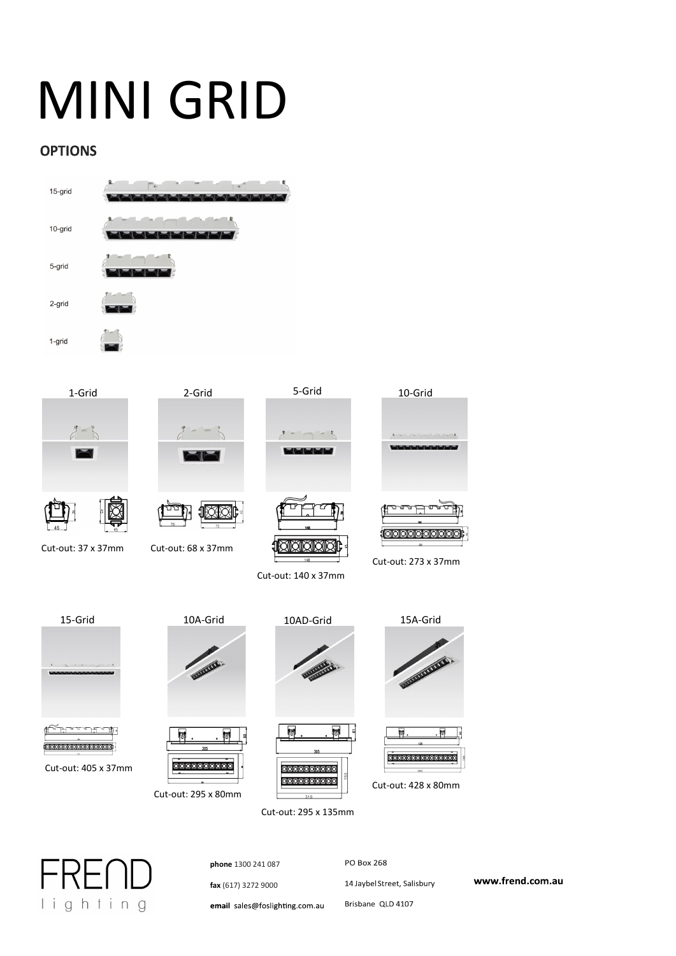### **OPTIONS**







Cut-out: 37 x 37mm Cut-out: 68 x 37mm







Cut-out: 140 x 37mm



Cut-out: 273 x 37mm





100000000000000000

Cut-out: 405 x 37mm



**addactorado** 

憳





Cut-out: 295 x 135mm





Cut-out: 428 x 80mm



**phone** 1300 241 087 **fax** (617) 3272 9000 email sales@foslighting.com.au **PO Box 268** 14 Jaybel Street, Salisbury Brisbane QLD 4107

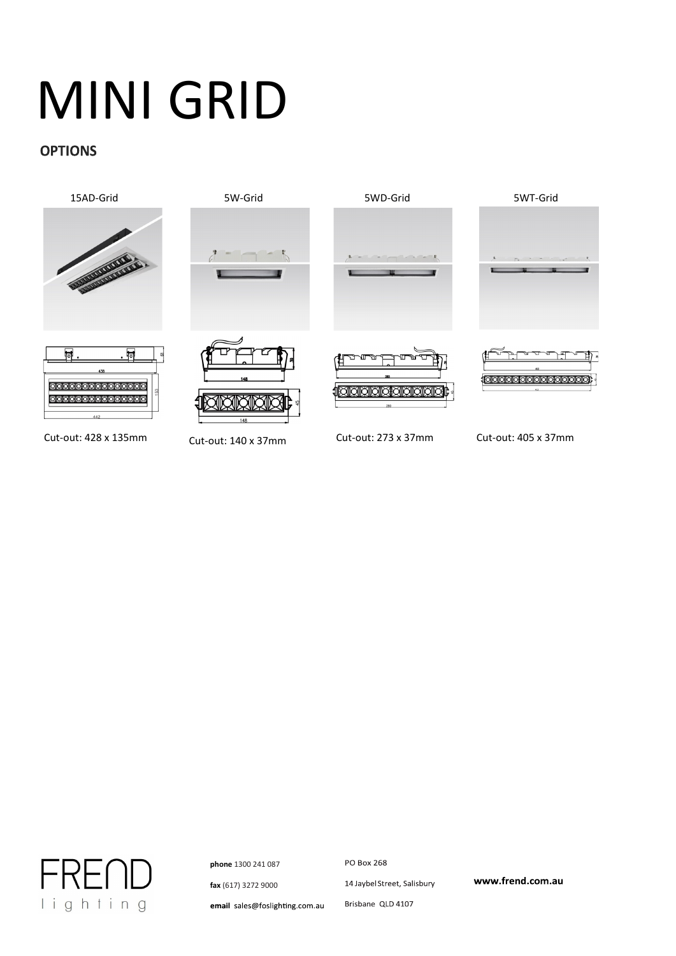#### **OPTIONS**



Cut-out: 428 x 135mm Cut-out: 140 x 37mm Cut-out: 273 x 37mm Cut-out: 405 x 37mm



**phone** 1300 241 087

**fax** (617) 3272 9000

**PO Box 268** 14 Jaybel Street, Salisbury

www.frend.com.au

Brisbane QLD 4107 email sales@foslighting.com.au